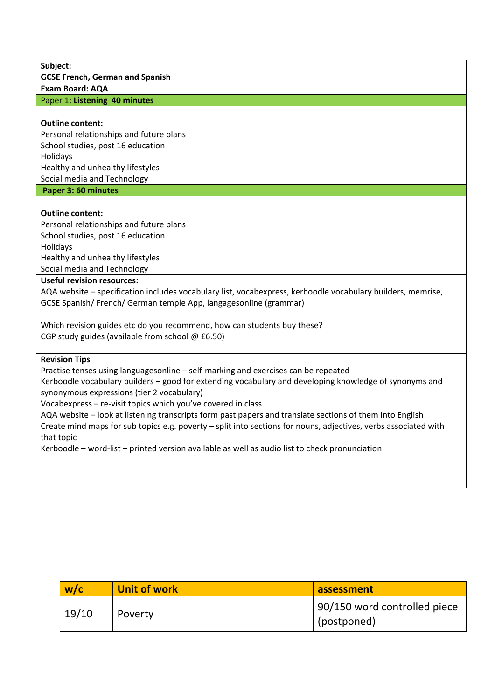**Subject:**

**GCSE French, German and Spanish**

**Exam Board: AQA**

Paper 1: **Listening 40 minutes**

## **Outline content:**

Personal relationships and future plans School studies, post 16 education Holidays Healthy and unhealthy lifestyles Social media and Technology

**Paper 3: 60 minutes** 

## **Outline content:**

Personal relationships and future plans School studies, post 16 education Holidays Healthy and unhealthy lifestyles Social media and Technology

## **Useful revision resources:**

AQA website – specification includes vocabulary list, vocabexpress, kerboodle vocabulary builders, memrise, GCSE Spanish/ French/ German temple App, langagesonline (grammar)

Which revision guides etc do you recommend, how can students buy these? CGP study guides (available from school @ £6.50)

## **Revision Tips**

Practise tenses using languagesonline – self-marking and exercises can be repeated

Kerboodle vocabulary builders – good for extending vocabulary and developing knowledge of synonyms and synonymous expressions (tier 2 vocabulary)

Vocabexpress – re-visit topics which you've covered in class

AQA website – look at listening transcripts form past papers and translate sections of them into English Create mind maps for sub topics e.g. poverty – split into sections for nouns, adjectives, verbs associated with that topic

Kerboodle – word-list – printed version available as well as audio list to check pronunciation

| w/c   | <b>Unit of work</b> | assessment                                  |
|-------|---------------------|---------------------------------------------|
| 19/10 | Poverty             | 90/150 word controlled piece<br>(postponed) |